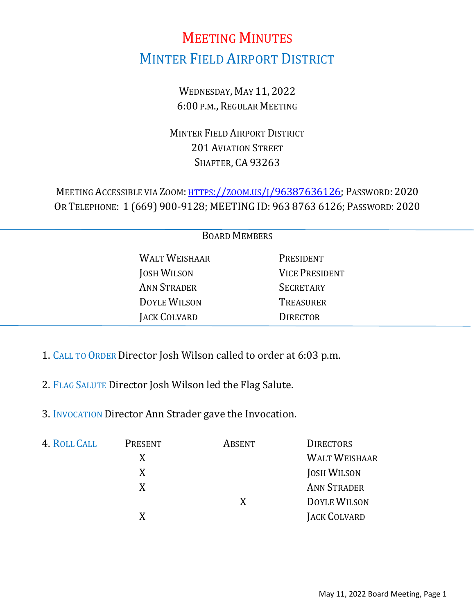# MEETING MINUTES MINTER FIELD AIRPORT DISTRICT

WEDNESDAY, MAY 11, 2022 6:00 P.M., REGULAR MEETING

MINTER FIELD AIRPORT DISTRICT 201 AVIATION STREET SHAFTER, CA 93263

MEETING ACCESSIBLE VIA ZOOM: [HTTPS://ZOOM.US/J/96387636126;](https://zoom.us/j/96387636126?pwd=M0E1YkoyOGxxWXI5VzNUR2g3bmxRZz09) PASSWORD: 2020 OR TELEPHONE: 1 (669) 900-9128; MEETING ID: 963 8763 6126; PASSWORD: 2020

| <b>BOARD MEMBERS</b> |                      |                       |  |  |
|----------------------|----------------------|-----------------------|--|--|
|                      | <b>WALT WEISHAAR</b> | PRESIDENT             |  |  |
|                      | <b>JOSH WILSON</b>   | <b>VICE PRESIDENT</b> |  |  |
|                      | <b>ANN STRADER</b>   | <b>SECRETARY</b>      |  |  |
|                      | <b>DOYLE WILSON</b>  | <b>TREASURER</b>      |  |  |
|                      | JACK COLVARD         | <b>DIRECTOR</b>       |  |  |
|                      |                      |                       |  |  |

- 1. CALL TO ORDER Director Josh Wilson called to order at 6:03 p.m.
- 2. FLAG SALUTE Director Josh Wilson led the Flag Salute.
- 3. INVOCATION Director Ann Strader gave the Invocation.

| 4. ROLL CALL | PRESENT | ABSENT | <b>DIRECTORS</b>     |
|--------------|---------|--------|----------------------|
|              | X       |        | <b>WALT WEISHAAR</b> |
|              | X       |        | <b>JOSH WILSON</b>   |
|              | X       |        | <b>ANN STRADER</b>   |
|              |         | X      | <b>DOYLE WILSON</b>  |
|              |         |        | JACK COLVARD         |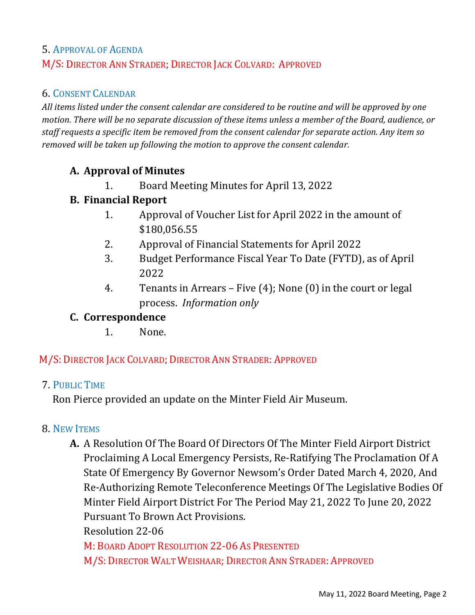## 5. APPROVAL OF AGENDA M/S: DIRECTOR ANN STRADER; DIRECTOR JACK COLVARD: APPROVED

## 6. CONSENT CALENDAR

*All items listed under the consent calendar are considered to be routine and will be approved by one motion. There will be no separate discussion of these items unless a member of the Board, audience, or staff requests a specific item be removed from the consent calendar for separate action. Any item so removed will be taken up following the motion to approve the consent calendar.*

#### **A. Approval of Minutes**

1. Board Meeting Minutes for April 13, 2022

## **B. Financial Report**

- 1. Approval of Voucher List for April 2022 in the amount of \$180,056.55
- 2. Approval of Financial Statements for April 2022
- 3. Budget Performance Fiscal Year To Date (FYTD), as of April 2022
- 4. Tenants in Arrears Five (4); None (0) in the court or legal process. *Information only*

## **C. Correspondence**

1. None.

#### M/S: DIRECTOR JACK COLVARD; DIRECTOR ANN STRADER: APPROVED

#### 7. PUBLIC TIME

Ron Pierce provided an update on the Minter Field Air Museum.

#### 8. NEW ITEMS

**A.** A Resolution Of The Board Of Directors Of The Minter Field Airport District Proclaiming A Local Emergency Persists, Re-Ratifying The Proclamation Of A State Of Emergency By Governor Newsom's Order Dated March 4, 2020, And Re-Authorizing Remote Teleconference Meetings Of The Legislative Bodies Of Minter Field Airport District For The Period May 21, 2022 To June 20, 2022 Pursuant To Brown Act Provisions.

Resolution 22-06

M: BOARD ADOPT RESOLUTION 22-06 AS PRESENTED M/S: DIRECTOR WALT WEISHAAR; DIRECTOR ANN STRADER: APPROVED